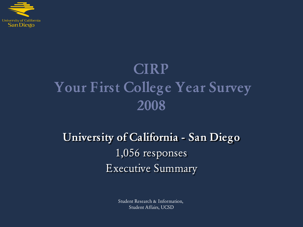

# **CIRP Your First College Year Survey 2008**

# **University of California - San Diego** 1,056 responses Executive Summary

Student Research & Information, Student Affairs, UCSD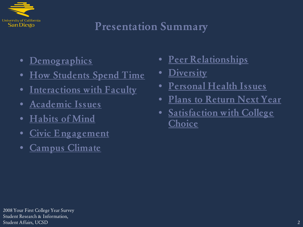

# **Presentation Summary**

- **[Demographics](#page-2-0)**
- **[How Students Spend Time](#page-3-0)**
- **[Interactions with Faculty](#page-4-0)**
- **[Academic Issues](#page-10-0)**
- **[Habits of Mind](#page-22-0)**
- **[Civic Engagement](#page-24-0)**
- **[Campus Climate](#page-28-0)**
- **[Peer Relationships](#page-31-0)**
- **[Diversity](#page-36-0)**
- **[Personal Health Issues](#page-45-0)**
- **[Plans to Return Next Year](#page-49-0)**
- **[Satisfaction with College](#page-50-0)  [Choice](#page-50-0)**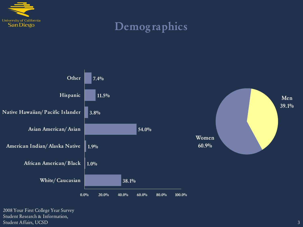

# **Demographics**

<span id="page-2-0"></span>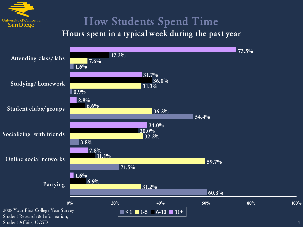

# **How Students Spend Time**

#### <span id="page-3-0"></span>**Hours spent in a typical week during the past year**

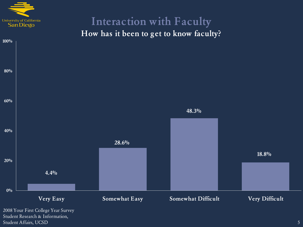

#### **Interaction with Faculty How has it been to get to know faculty?**

<span id="page-4-0"></span>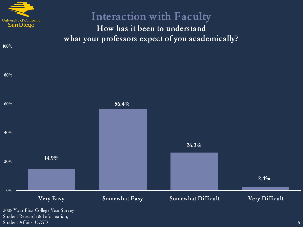

**100%**

#### **Interaction with Faculty**

**How has it been to understand what your professors expect of you academically?**

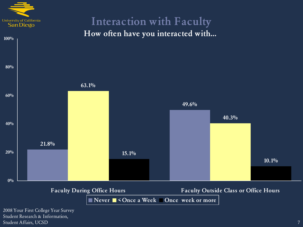

Student Research & Information, Student Affairs, UCSD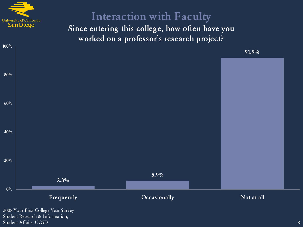

**100%**

## **Interaction with Faculty**

**Since entering this college, how often have you worked on a professor's research project?**

**91.9%**

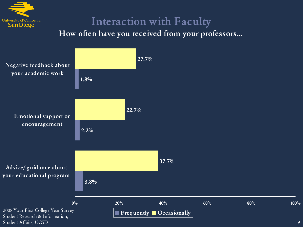

# **Interaction with Faculty**

**How often have you received from your professors…**

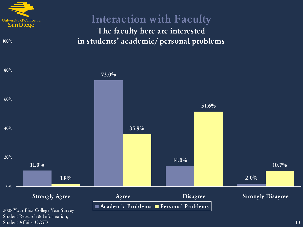

Student Research & Information, Student Affairs, UCSD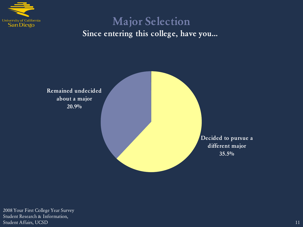

#### **Major Selection Since entering this college, have you…**

<span id="page-10-0"></span>**Remained undecided about a major 20.9%**

> **Decided to pursue a different major 35.5%**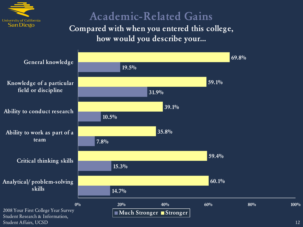

#### **Academic-Related Gains Compared with when you entered this college,**

**how would you describe your…**

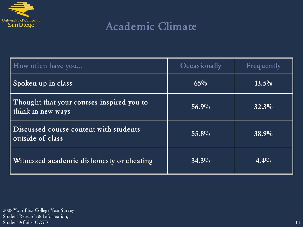

# **Academic Climate**

| How often have you                                             | Occasionally | Frequently |
|----------------------------------------------------------------|--------------|------------|
| Spoken up in class                                             | $65\%$       | $13.5\%$   |
| Thought that your courses inspired you to<br>think in new ways | $56.9\%$     | $32.3\%$   |
| Discussed course content with students<br>outside of class     | 55.8%        | 38.9%      |
| Witnessed academic dishonesty or cheating                      | $34.3\%$     | $4.4\%$    |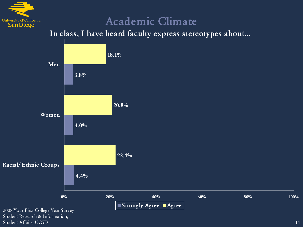

### **Academic Climate**

**In class, I have heard faculty express stereotypes about…**

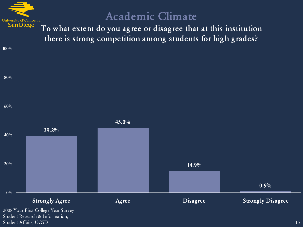

#### **Academic Climate**

**To what extent do you agree or disagree that at this institution there is strong competition among students for high grades?**

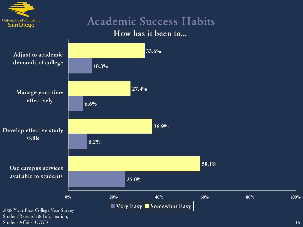

Student Affairs, UCSD

# **Academic Success Habits**

#### **How has it been to…**

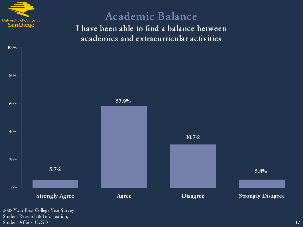

**100%**

#### **Academic Balance I have been able to find a balance between academics and extracurricular activities**



Student Research & Information, Student Affairs, UCSD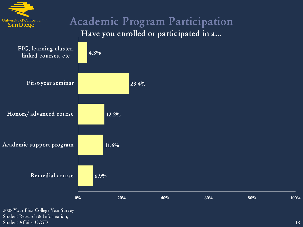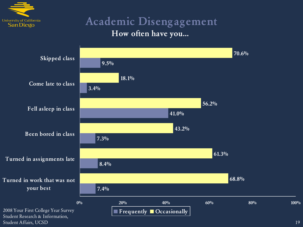

#### **Academic Disengagement How often have you…**

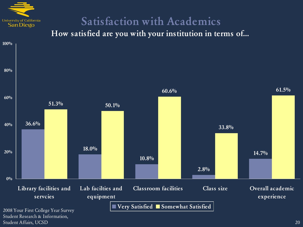

Student Affairs, UCSD

# **Satisfaction with Academics**

**How satisfied are you with your institution in terms of…**

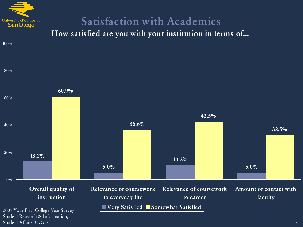

Student Affairs, UCSD

# **Satisfaction with Academics**

**How satisfied are you with your institution in terms of…**

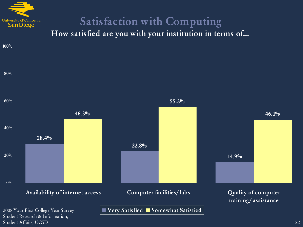

# **Satisfaction with Computing**

**How satisfied are you with your institution in terms of…**

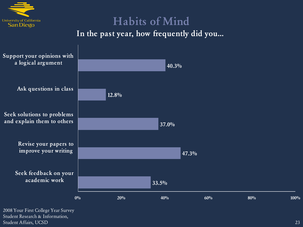

# **Habits of Mind In the past year, how frequently did you…**

<span id="page-22-0"></span>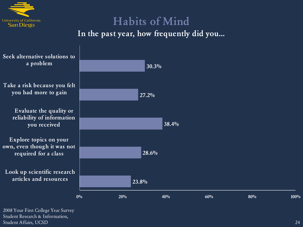

## **Habits of Mind In the past year, how frequently did you…**

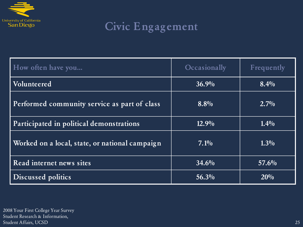

# **Civic Engagement**

<span id="page-24-0"></span>

| How often have you                             | Occasionally       | Frequently |
|------------------------------------------------|--------------------|------------|
| Volunteered                                    | $36.9\%$           | $8.4\%$    |
| Performed community service as part of class   | $8.8\%$            | $2.7\%$    |
| Participated in political demonstrations       | $12.9\%$           | $1.4\%$    |
| Worked on a local, state, or national campaign | $7.\overline{1\%}$ | $1.3\%$    |
| Read internet news sites                       | 34.6%              | $57.6\%$   |
| Discussed politics                             | $56.3\%$           | 20%        |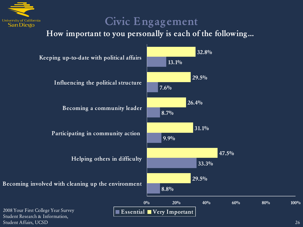

# **Civic Engagement**

**How important to you personally is each of the following…**

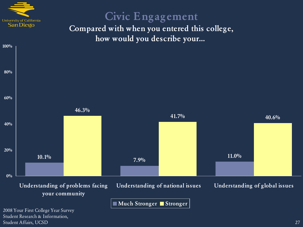

**100%**

Student Affairs, UCSD

# **Civic Engagement**

**Compared with when you entered this college, how would you describe your…**

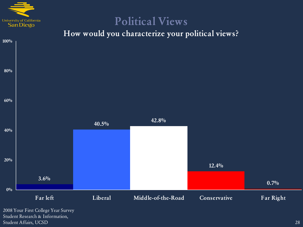

Student Research & Information, Student Affairs, UCSD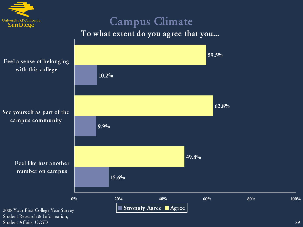

#### **Campus Climate To what extent do you agree that you…**



<span id="page-28-0"></span>Student Research & Information, Student Affairs, UCSD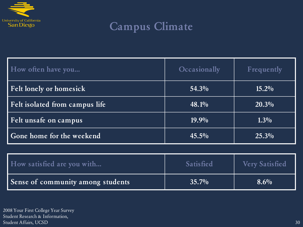

# **Campus Climate**

| How often have you             | Occasionally | Frequently |
|--------------------------------|--------------|------------|
| <b>Felt lonely or homesick</b> | 54.3%        | $15.2\%$   |
| Felt isolated from campus life | 48.1%        | $20.3\%$   |
| Felt unsafe on campus          | $19.9\%$     | $1.3\%$    |
| Gone home for the weekend      | $45.5\%$     | $25.3\%$   |

| How satisfied are you with        | <b>Satisfied</b> | <b>Very Satisfied</b> |
|-----------------------------------|------------------|-----------------------|
| Sense of community among students | $35.7\%$         | $8.6\%$               |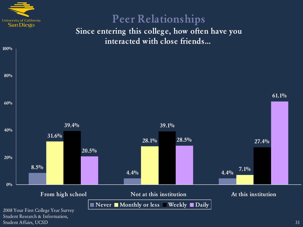

**100%**

#### **Peer Relationships Since entering this college, how often have you interacted with close friends…**

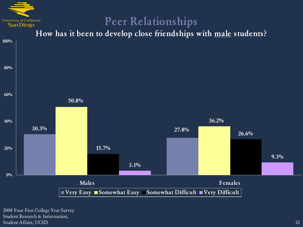

### **Peer Relationships**

**How has it been to develop close friendships with male students?**

<span id="page-31-0"></span>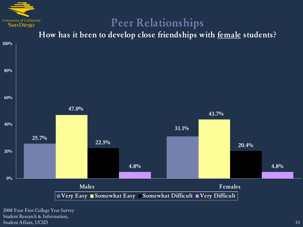

# **Peer Relationships**

**How has it been to develop close friendships with female students?**

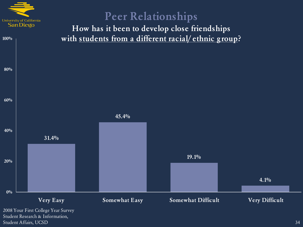

Student Affairs, UCSD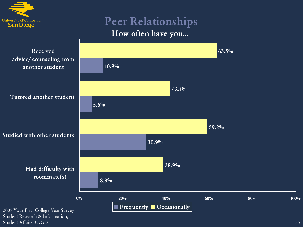

#### **Peer Relationships How often have you…**



Student Affairs, UCSD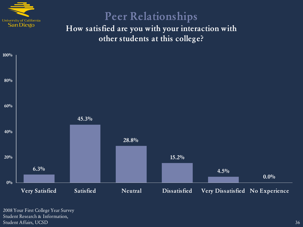

# **Peer Relationships**

**How satisfied are you with your interaction with other students at this college?**

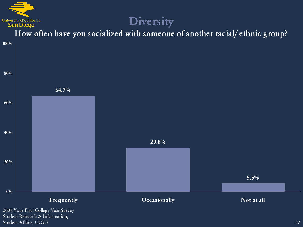

#### **How often have you socialized with someone of another racial/ ethnic group?**

<span id="page-36-0"></span>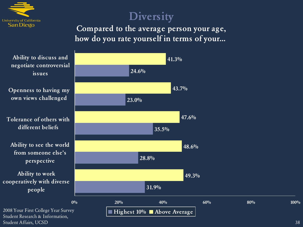

**Compared to the average person your age, how do you rate yourself in terms of your…**

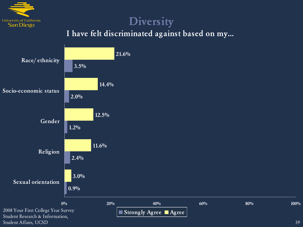

#### **I have felt discriminated against based on my…**

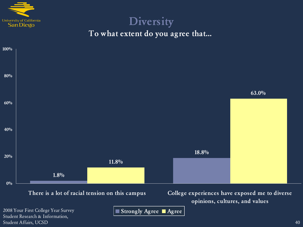

#### **Diversity To what extent do you agree that…**



Student Research & Information, Student Affairs, UCSD

**Strongly Agree Agree**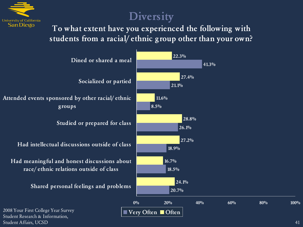

#### **To what extent have you experienced the following with students from a racial/ ethnic group other than your own?**

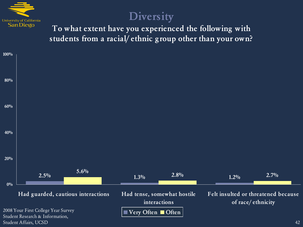

**To what extent have you experienced the following with students from a racial/ ethnic group other than your own?**

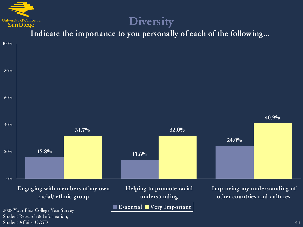

Student Affairs, UCSD

#### **Diversity**

**Indicate the importance to you personally of each of the following…**

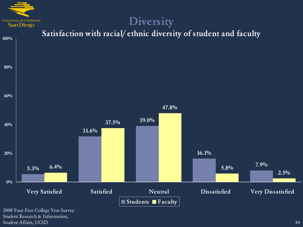

#### **Diversity Satisfaction with racial/ ethnic diversity of student and faculty 5.3% 31.6% 39.0% 16.1% 6.4% 7.9% 37.5% 47.8% 5.8% 2.5% 20% 40% 60% 80% 100%**

**0% Very Satisfied Satisfied Neutral Dissatisfied Very Dissatisfied Students Faculty**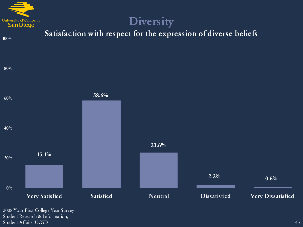

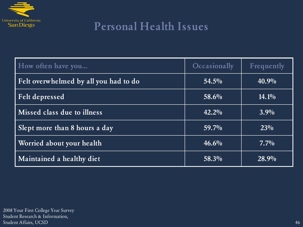

# **Personal Health Issues**

<span id="page-45-0"></span>

| How often have you                    | <b>Occasionally</b> | Frequently |
|---------------------------------------|---------------------|------------|
| Felt overwhelmed by all you had to do | $54.5\%$            | $40.9\%$   |
| <b>Felt depressed</b>                 | 58.6%               | $14.1\%$   |
| Missed class due to illness           | $42.2\%$            | $3.9\%$    |
| Slept more than 8 hours a day         | $59.7\%$            | $23\%$     |
| Worried about your health             | $46.6\%$            | $7.7\%$    |
| Maintained a healthy diet             | 58.3%               | 28.9%      |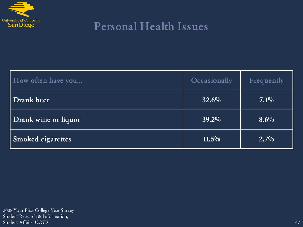

# **Personal Health Issues**

| How often have you       | Occasionally | Frequently |
|--------------------------|--------------|------------|
| Drank beer               | $32.6\%$     | $7.1\%$    |
| Drank wine or liquor     | $39.2\%$     | $8.6\%$    |
| <b>Smoked cigarettes</b> | $11.5\%$     | $2.7\%$    |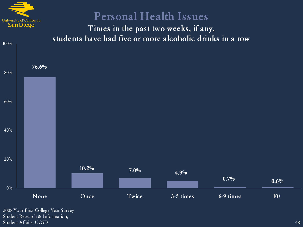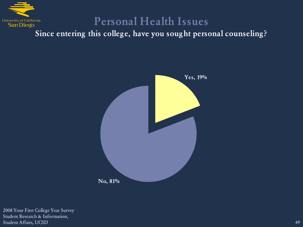

### **Personal Health Issues**

**Since entering this college, have you sought personal counseling?**

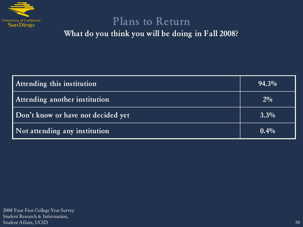

#### **Plans to Return**

**What do you think you will be doing in Fall 2008?**

<span id="page-49-0"></span>

| Attending this institution         | $94.3\%$ |
|------------------------------------|----------|
| Attending another institution      | $2\%$    |
| Don't know or have not decided yet | $3.3\%$  |
| Not attending any institution      | $0.4\%$  |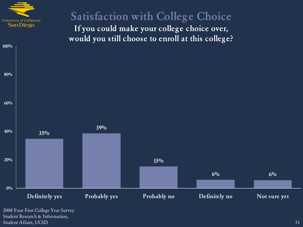

**100%**

## **Satisfaction with College Choice**

**If you could make your college choice over, would you still choose to enroll at this college?**

<span id="page-50-0"></span>